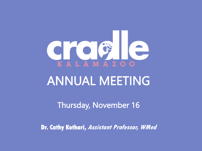

Thursday, November 16

**Dr. Cathy Kothari, Assistant Professor, WMed**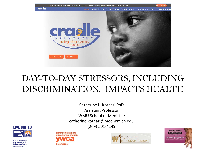

### DAY-TO-DAY STRESSORS, INCLUDING DISCRIMINATION, IMPACTS HEALTH

Catherine L. Kothari PhD Assistant Professor WMU School of Medicine catherine.kothari@med.wmich.edu (269) 501-4149



**United Way of the Battle Creek and Kalamazoo Region** changethestory.org





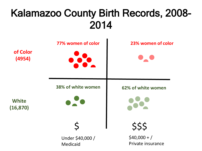## Kalamazoo County Birth Records, 2008- 2014

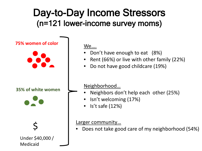## Day-to-Day Income Stressors (n=121 lower-income survey moms)



We….

- Don't have enough to eat (8%)
- Rent (66%) or live with other family (22%)
- Do not have good childcare (19%)

#### Neighborhood…

- **65% of white women** • Neighbors don't help each other (25%)
	- Isn't welcoming (17%)
- Is't safe  $(12%)$

#### Larger community...

 $\left\{ \begin{array}{c} \text{Larger community...} \\ \bullet \quad \text{Does not take good care of my neighborhood (54%)} \end{array} \right.$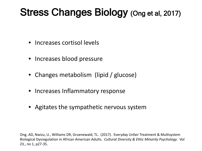## Stress Changes Biology (Ong et al, 2017)

- Increases cortisol levels
- Increases blood pressure
- Changes metabolism (lipid / glucose)
- Increases Inflammatory response
- Agitates the sympathetic nervous system

Ong, AD, Nwizu, U., Williams DR, Gruenewald, TL. (2017). Everyday Unfair Treatment & Multisystem Biological Dysregulation in African American Adults. *Cultural Diversity & Ethic Minority Psychology*. Vol 23., no 1, p27-35.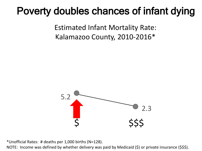## Poverty doubles chances of infant dying

Estimated Infant Mortality Rate: Kalamazoo County, 2010-2016\*



\*Unofficial Rates: # deaths per 1,000 births (N=128).

NOTE: Income was defined by whether delivery was paid by Medicaid (\$) or private insurance (\$\$\$).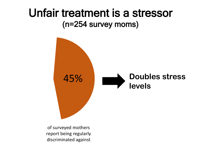## Unfair treatment is a stressor (n=254 survey moms)



of surveyed mothers report being regularly discriminated against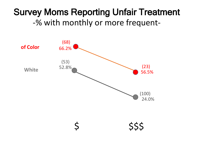#### Survey Moms Reporting Unfair Treatment -% with monthly or more frequent-

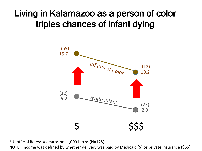### Living in Kalamazoo as a person of color triples chances of infant dying



\*Unofficial Rates: # deaths per 1,000 births (N=128).

NOTE: Income was defined by whether delivery was paid by Medicaid (\$) or private insurance (\$\$\$).